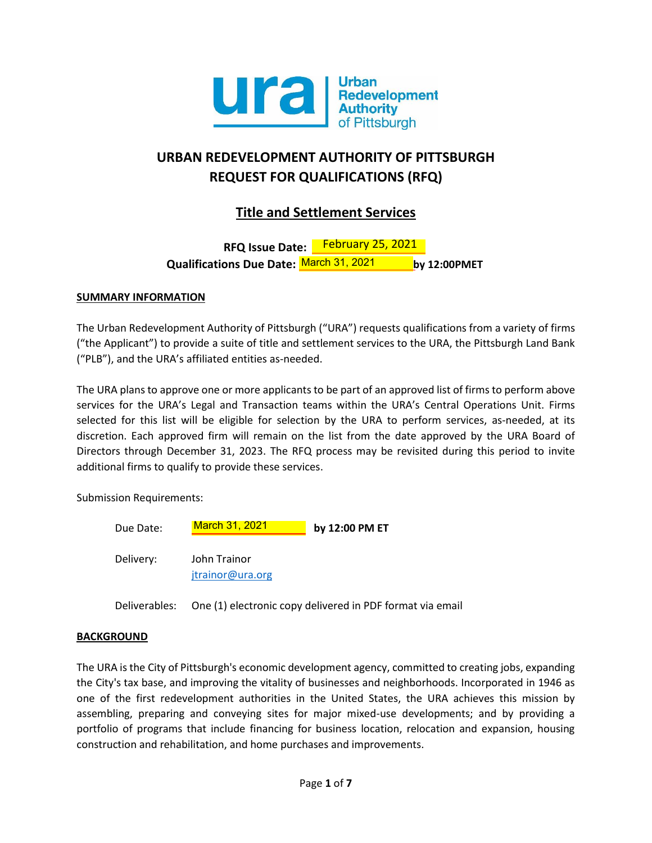

# **URBAN REDEVELOPMENT AUTHORITY OF PITTSBURGH REQUEST FOR QUALIFICATIONS (RFQ)**

## **Title and Settlement Services**

**RFQ Issue Date:** February 25, 2021**Qualifications Due Date: by 12:00PMET** March 31, 2021

## **SUMMARY INFORMATION**

The Urban Redevelopment Authority of Pittsburgh ("URA") requests qualifications from a variety of firms ("the Applicant") to provide a suite of title and settlement services to the URA, the Pittsburgh Land Bank ("PLB"), and the URA's affiliated entities as-needed.

The URA plans to approve one or more applicants to be part of an approved list of firms to perform above services for the URA's Legal and Transaction teams within the URA's Central Operations Unit. Firms selected for this list will be eligible for selection by the URA to perform services, as-needed, at its discretion. Each approved firm will remain on the list from the date approved by the URA Board of Directors through December 31, 2023. The RFQ process may be revisited during this period to invite additional firms to qualify to provide these services.

Submission Requirements:

| Due Date: | <b>March 31, 2021</b>            | by 12:00 PM ET |
|-----------|----------------------------------|----------------|
| Delivery: | John Trainor<br>jtrainor@ura.org |                |

Deliverables: One (1) electronic copy delivered in PDF format via email

## **BACKGROUND**

The URA is the City of Pittsburgh's economic development agency, committed to creating jobs, expanding the City's tax base, and improving the vitality of businesses and neighborhoods. Incorporated in 1946 as one of the first redevelopment authorities in the United States, the URA achieves this mission by assembling, preparing and conveying sites for major mixed-use developments; and by providing a portfolio of programs that include financing for business location, relocation and expansion, housing construction and rehabilitation, and home purchases and improvements.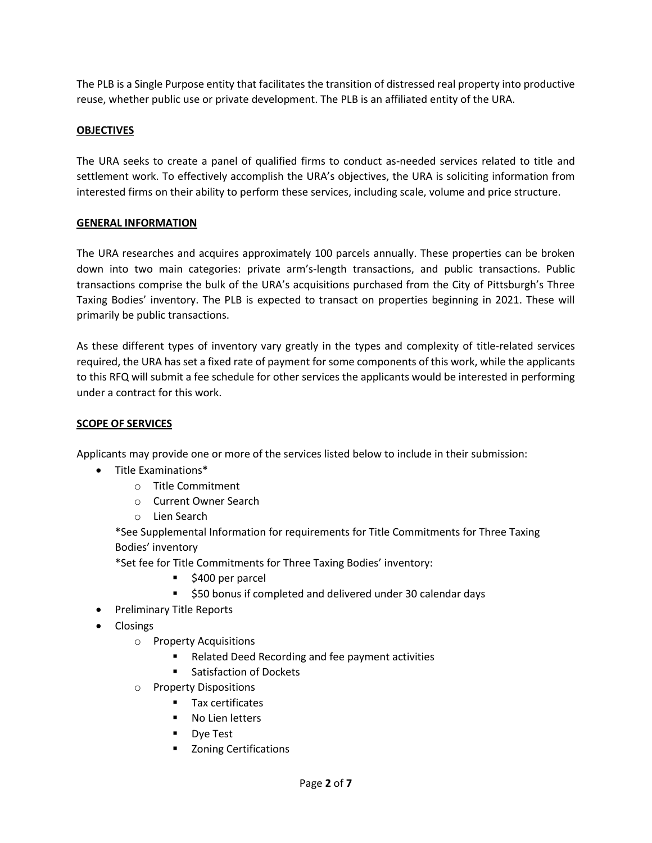The PLB is a Single Purpose entity that facilitates the transition of distressed real property into productive reuse, whether public use or private development. The PLB is an affiliated entity of the URA.

## **OBJECTIVES**

The URA seeks to create a panel of qualified firms to conduct as-needed services related to title and settlement work. To effectively accomplish the URA's objectives, the URA is soliciting information from interested firms on their ability to perform these services, including scale, volume and price structure.

## **GENERAL INFORMATION**

The URA researches and acquires approximately 100 parcels annually. These properties can be broken down into two main categories: private arm's-length transactions, and public transactions. Public transactions comprise the bulk of the URA's acquisitions purchased from the City of Pittsburgh's Three Taxing Bodies' inventory. The PLB is expected to transact on properties beginning in 2021. These will primarily be public transactions.

As these different types of inventory vary greatly in the types and complexity of title-related services required, the URA has set a fixed rate of payment for some components of this work, while the applicants to this RFQ will submit a fee schedule for other services the applicants would be interested in performing under a contract for this work.

## **SCOPE OF SERVICES**

Applicants may provide one or more of the services listed below to include in their submission:

- Title Examinations\*
	- o Title Commitment
	- o Current Owner Search
	- o Lien Search

\*See Supplemental Information for requirements for Title Commitments for Three Taxing Bodies' inventory

\*Set fee for Title Commitments for Three Taxing Bodies' inventory:

- \$400 per parcel
- \$50 bonus if completed and delivered under 30 calendar days
- Preliminary Title Reports
- Closings
	- o Property Acquisitions
		- Related Deed Recording and fee payment activities
		- Satisfaction of Dockets
	- o Property Dispositions
		- Tax certificates
		- No Lien letters
		- Dye Test
		- Zoning Certifications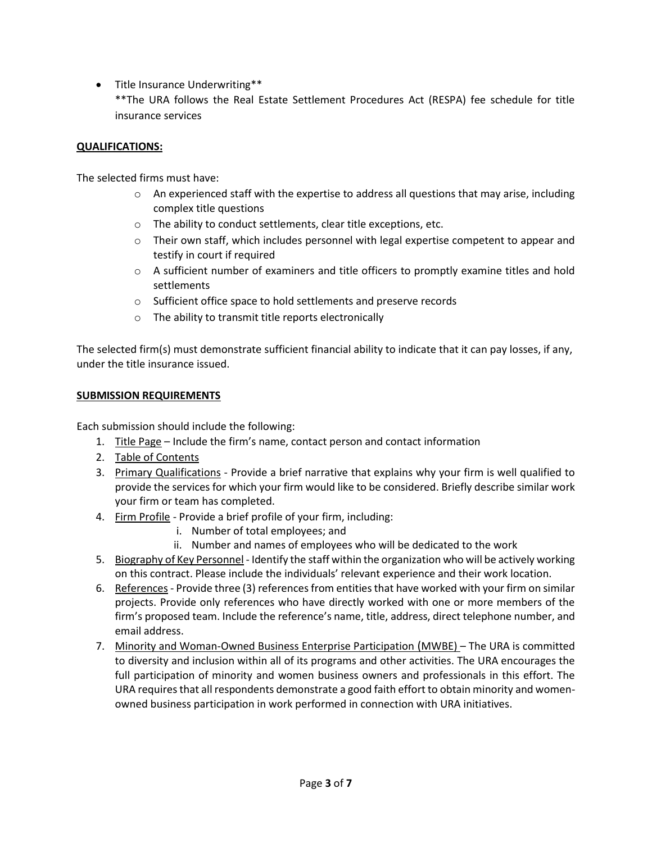- Title Insurance Underwriting\*\*
	- \*\*The URA follows the Real Estate Settlement Procedures Act (RESPA) fee schedule for title insurance services

#### **QUALIFICATIONS:**

The selected firms must have:

- $\circ$  An experienced staff with the expertise to address all questions that may arise, including complex title questions
- o The ability to conduct settlements, clear title exceptions, etc.
- $\circ$  Their own staff, which includes personnel with legal expertise competent to appear and testify in court if required
- $\circ$  A sufficient number of examiners and title officers to promptly examine titles and hold settlements
- o Sufficient office space to hold settlements and preserve records
- o The ability to transmit title reports electronically

The selected firm(s) must demonstrate sufficient financial ability to indicate that it can pay losses, if any, under the title insurance issued.

#### **SUBMISSION REQUIREMENTS**

Each submission should include the following:

- 1. Title Page Include the firm's name, contact person and contact information
- 2. Table of Contents
- 3. Primary Qualifications Provide a brief narrative that explains why your firm is well qualified to provide the services for which your firm would like to be considered. Briefly describe similar work your firm or team has completed.
- 4. Firm Profile Provide a brief profile of your firm, including:
	- i. Number of total employees; and
	- ii. Number and names of employees who will be dedicated to the work
- 5. Biography of Key Personnel Identify the staff within the organization who will be actively working on this contract. Please include the individuals' relevant experience and their work location.
- 6. References Provide three (3) references from entities that have worked with your firm on similar projects. Provide only references who have directly worked with one or more members of the firm's proposed team. Include the reference's name, title, address, direct telephone number, and email address.
- 7. Minority and Woman-Owned Business Enterprise Participation (MWBE) The URA is committed to diversity and inclusion within all of its programs and other activities. The URA encourages the full participation of minority and women business owners and professionals in this effort. The URA requires that all respondents demonstrate a good faith effort to obtain minority and womenowned business participation in work performed in connection with URA initiatives.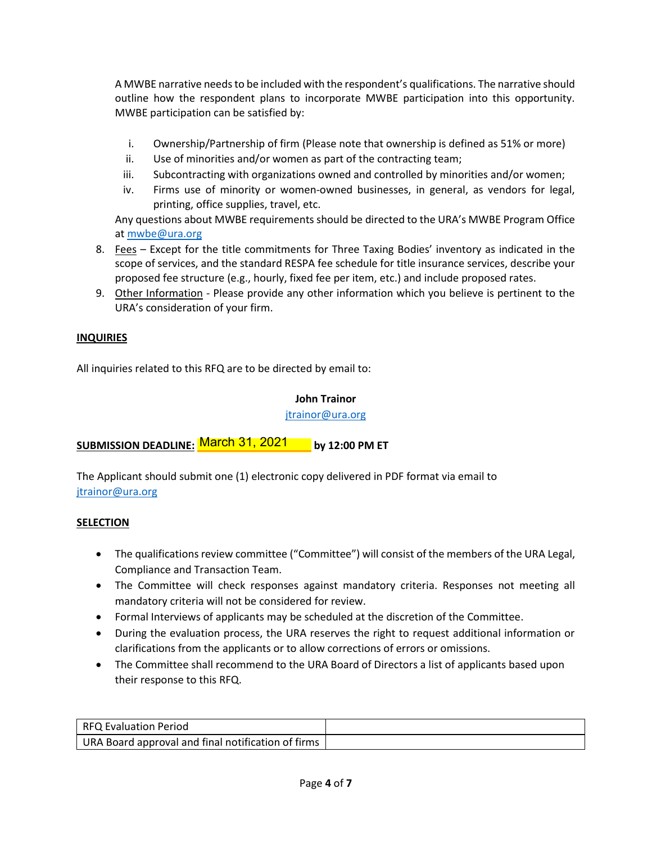A MWBE narrative needs to be included with the respondent's qualifications. The narrative should outline how the respondent plans to incorporate MWBE participation into this opportunity. MWBE participation can be satisfied by:

- i. Ownership/Partnership of firm (Please note that ownership is defined as 51% or more)
- ii. Use of minorities and/or women as part of the contracting team;
- iii. Subcontracting with organizations owned and controlled by minorities and/or women;
- iv. Firms use of minority or women-owned businesses, in general, as vendors for legal, printing, office supplies, travel, etc.

Any questions about MWBE requirements should be directed to the URA's MWBE Program Office a[t mwbe@ura.org](mailto:mwbe@ura.org)

- 8. Fees Except for the title commitments for Three Taxing Bodies' inventory as indicated in the scope of services, and the standard RESPA fee schedule for title insurance services, describe your proposed fee structure (e.g., hourly, fixed fee per item, etc.) and include proposed rates.
- 9. Other Information Please provide any other information which you believe is pertinent to the URA's consideration of your firm.

## **INQUIRIES**

All inquiries related to this RFQ are to be directed by email to:

#### **John Trainor**

[jtrainor@ura.org](mailto:jtrainor@ura.org)

<u>SUBMISSION DEADLINE: <mark>March 31, 2021</mark> by</u> 12:00 PM ET

The Applicant should submit one (1) electronic copy delivered in PDF format via email to [jtrainor@ura.org](mailto:jtrainor@ura.org)

## **SELECTION**

- The qualifications review committee ("Committee") will consist of the members of the URA Legal, Compliance and Transaction Team.
- The Committee will check responses against mandatory criteria. Responses not meeting all mandatory criteria will not be considered for review.
- Formal Interviews of applicants may be scheduled at the discretion of the Committee.
- During the evaluation process, the URA reserves the right to request additional information or clarifications from the applicants or to allow corrections of errors or omissions.
- The Committee shall recommend to the URA Board of Directors a list of applicants based upon their response to this RFQ.

| RFQ Evaluation Period                              |  |
|----------------------------------------------------|--|
| URA Board approval and final notification of firms |  |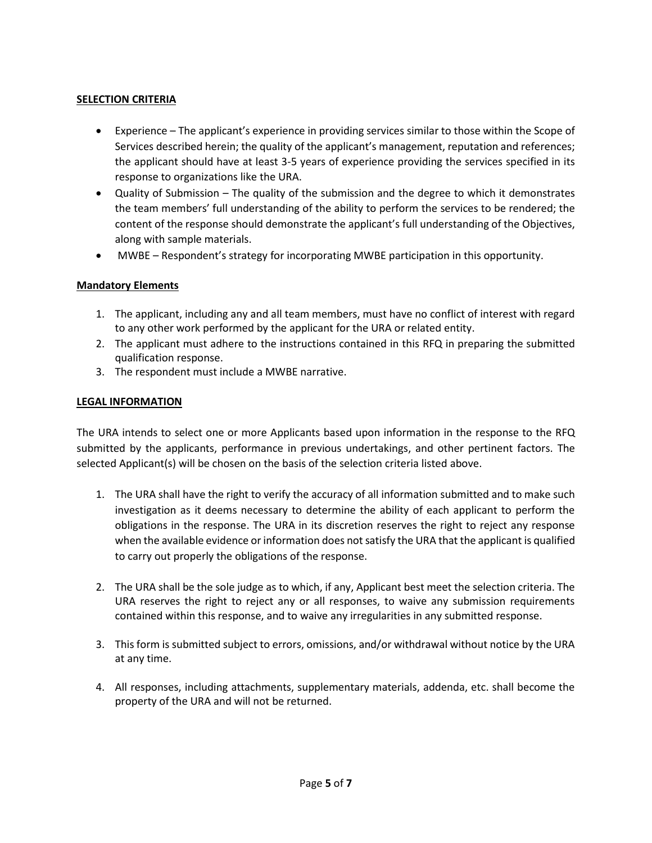## **SELECTION CRITERIA**

- Experience The applicant's experience in providing services similar to those within the Scope of Services described herein; the quality of the applicant's management, reputation and references; the applicant should have at least 3-5 years of experience providing the services specified in its response to organizations like the URA.
- Quality of Submission The quality of the submission and the degree to which it demonstrates the team members' full understanding of the ability to perform the services to be rendered; the content of the response should demonstrate the applicant's full understanding of the Objectives, along with sample materials.
- MWBE Respondent's strategy for incorporating MWBE participation in this opportunity.

#### **Mandatory Elements**

- 1. The applicant, including any and all team members, must have no conflict of interest with regard to any other work performed by the applicant for the URA or related entity.
- 2. The applicant must adhere to the instructions contained in this RFQ in preparing the submitted qualification response.
- 3. The respondent must include a MWBE narrative.

#### **LEGAL INFORMATION**

The URA intends to select one or more Applicants based upon information in the response to the RFQ submitted by the applicants, performance in previous undertakings, and other pertinent factors. The selected Applicant(s) will be chosen on the basis of the selection criteria listed above.

- 1. The URA shall have the right to verify the accuracy of all information submitted and to make such investigation as it deems necessary to determine the ability of each applicant to perform the obligations in the response. The URA in its discretion reserves the right to reject any response when the available evidence or information does not satisfy the URA that the applicant is qualified to carry out properly the obligations of the response.
- 2. The URA shall be the sole judge as to which, if any, Applicant best meet the selection criteria. The URA reserves the right to reject any or all responses, to waive any submission requirements contained within this response, and to waive any irregularities in any submitted response.
- 3. This form is submitted subject to errors, omissions, and/or withdrawal without notice by the URA at any time.
- 4. All responses, including attachments, supplementary materials, addenda, etc. shall become the property of the URA and will not be returned.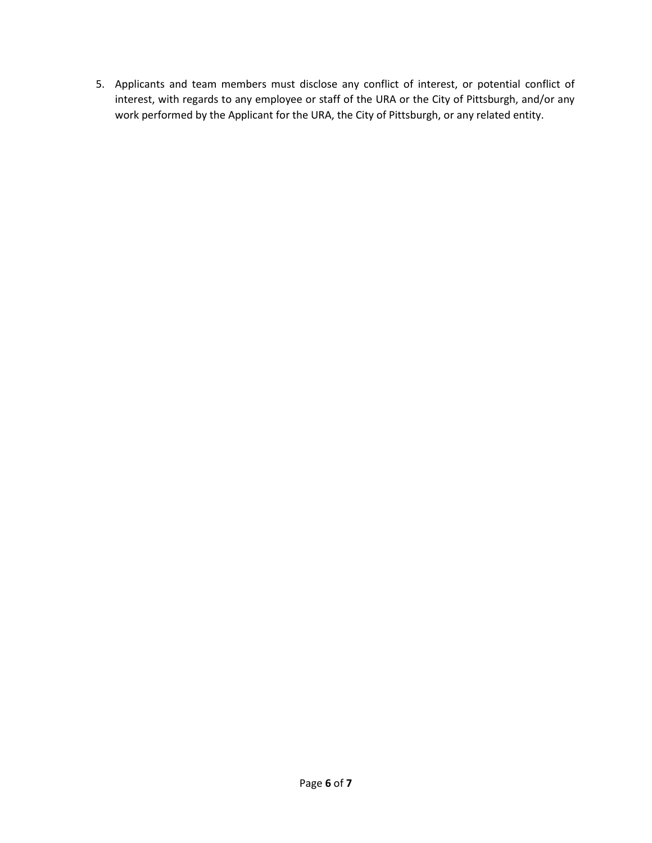5. Applicants and team members must disclose any conflict of interest, or potential conflict of interest, with regards to any employee or staff of the URA or the City of Pittsburgh, and/or any work performed by the Applicant for the URA, the City of Pittsburgh, or any related entity.